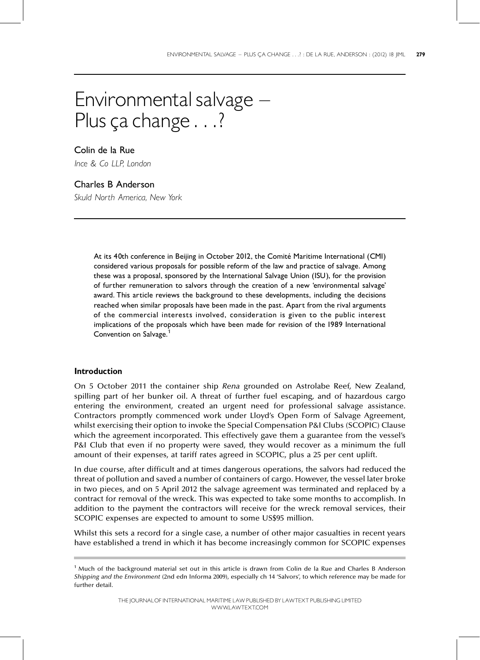# Environmental salvage  $-$ Plus ça change . . .?

Colin de la Rue Ince & Co LLP, London

## Charles B Anderson

Skuld North America, New York

At its 40th conference in Beijing in October 2012, the Comité Maritime International (CMI) considered various proposals for possible reform of the law and practice of salvage. Among these was a proposal, sponsored by the International Salvage Union (ISU), for the provision of further remuneration to salvors through the creation of a new 'environmental salvage' award. This article reviews the background to these developments, including the decisions reached when similar proposals have been made in the past. Apart from the rival arguments of the commercial interests involved, consideration is given to the public interest implications of the proposals which have been made for revision of the 1989 International Convention on Salvage.<sup>1</sup>

### Introduction

On 5 October 2011 the container ship Rena grounded on Astrolabe Reef, New Zealand, spilling part of her bunker oil. A threat of further fuel escaping, and of hazardous cargo entering the environment, created an urgent need for professional salvage assistance. Contractors promptly commenced work under Lloyd's Open Form of Salvage Agreement, whilst exercising their option to invoke the Special Compensation P&I Clubs (SCOPIC) Clause which the agreement incorporated. This effectively gave them a guarantee from the vessel's P&I Club that even if no property were saved, they would recover as a minimum the full amount of their expenses, at tariff rates agreed in SCOPIC, plus a 25 per cent uplift.

In due course, after difficult and at times dangerous operations, the salvors had reduced the threat of pollution and saved a number of containers of cargo. However, the vessel later broke in two pieces, and on 5 April 2012 the salvage agreement was terminated and replaced by a contract for removal of the wreck. This was expected to take some months to accomplish. In addition to the payment the contractors will receive for the wreck removal services, their SCOPIC expenses are expected to amount to some US\$95 million.

Whilst this sets a record for a single case, a number of other major casualties in recent years have established a trend in which it has become increasingly common for SCOPIC expenses

THE JOURNALOF INTERNATIONAL MARITIME LAWPUBLISHEDBYLAWTEXT PUBLISHINGLIMITED WWW.LAWTEXT.COM

 $<sup>1</sup>$  Much of the background material set out in this article is drawn from Colin de la Rue and Charles B Anderson</sup> Shipping and the Environment (2nd edn Informa 2009), especially ch 14 `Salvors', to which reference may be made for further detail.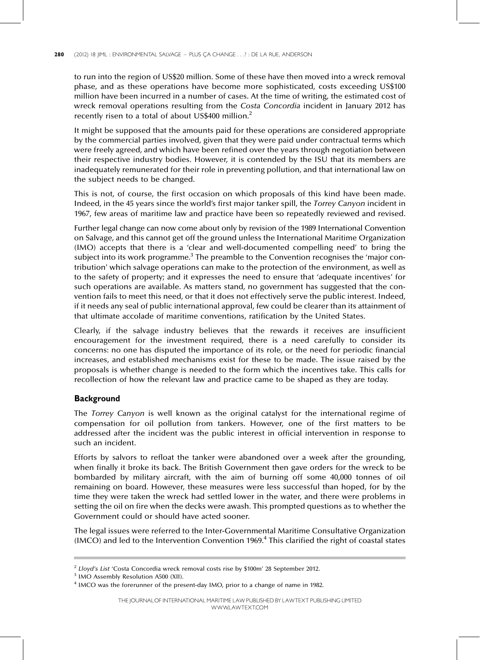to run into the region of US\$20 million. Some of these have then moved into a wreck removal phase, and as these operations have become more sophisticated, costs exceeding US\$100 million have been incurred in a number of cases. At the time of writing, the estimated cost of wreck removal operations resulting from the Costa Concordia incident in January 2012 has recently risen to a total of about US\$400 million.<sup>2</sup>

It might be supposed that the amounts paid for these operations are considered appropriate by the commercial parties involved, given that they were paid under contractual terms which were freely agreed, and which have been refined over the years through negotiation between their respective industry bodies. However, it is contended by the ISU that its members are inadequately remunerated for their role in preventing pollution, and that international law on the subject needs to be changed.

This is not, of course, the first occasion on which proposals of this kind have been made. Indeed, in the 45 years since the world's first major tanker spill, the Torrey Canyon incident in 1967, few areas of maritime law and practice have been so repeatedly reviewed and revised.

Further legal change can now come about only by revision of the 1989 International Convention on Salvage, and this cannot get off the ground unless the International Maritime Organization (IMO) accepts that there is a 'clear and well-documented compelling need' to bring the subject into its work programme.<sup>3</sup> The preamble to the Convention recognises the 'major contribution' which salvage operations can make to the protection of the environment, as well as to the safety of property; and it expresses the need to ensure that 'adequate incentives' for such operations are available. As matters stand, no government has suggested that the convention fails to meet this need, or that it does not effectively serve the public interest. Indeed, if it needs any seal of public international approval, few could be clearer than its attainment of that ultimate accolade of maritime conventions, ratification by the United States.

Clearly, if the salvage industry believes that the rewards it receives are insufficient encouragement for the investment required, there is a need carefully to consider its concerns: no one has disputed the importance of its role, or the need for periodic financial increases, and established mechanisms exist for these to be made. The issue raised by the proposals is whether change is needed to the form which the incentives take. This calls for recollection of how the relevant law and practice came to be shaped as they are today.

#### **Background**

The Torrey Canyon is well known as the original catalyst for the international regime of compensation for oil pollution from tankers. However, one of the first matters to be addressed after the incident was the public interest in official intervention in response to such an incident.

Efforts by salvors to refloat the tanker were abandoned over a week after the grounding, when finally it broke its back. The British Government then gave orders for the wreck to be bombarded by military aircraft, with the aim of burning off some 40,000 tonnes of oil remaining on board. However, these measures were less successful than hoped, for by the time they were taken the wreck had settled lower in the water, and there were problems in setting the oil on fire when the decks were awash. This prompted questions as to whether the Government could or should have acted sooner.

The legal issues were referred to the Inter-Governmental Maritime Consultative Organization ( $IMCO$ ) and led to the Intervention Convention  $1969<sup>4</sup>$  This clarified the right of coastal states

 $2$  Lloyd's List 'Costa Concordia wreck removal costs rise by \$100m' 28 September 2012.

<sup>3</sup> IMO Assembly Resolution A500 (XII).

<sup>&</sup>lt;sup>4</sup> IMCO was the forerunner of the present-day IMO, prior to a change of name in 1982.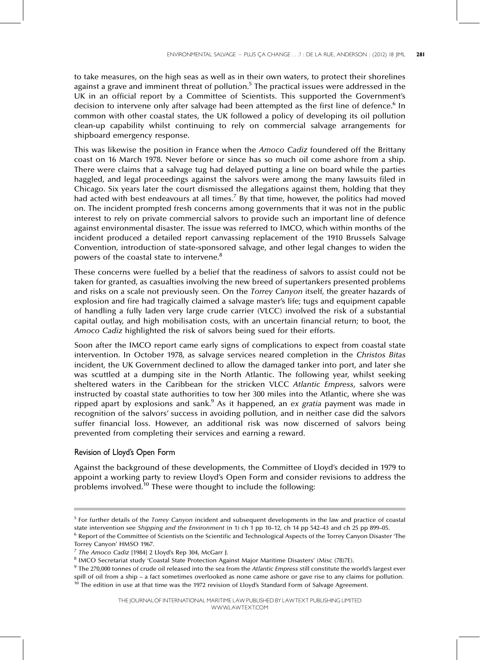to take measures, on the high seas as well as in their own waters, to protect their shorelines against a grave and imminent threat of pollution.<sup>5</sup> The practical issues were addressed in the UK in an official report by a Committee of Scientists. This supported the Government's decision to intervene only after salvage had been attempted as the first line of defence.<sup>6</sup> In common with other coastal states, the UK followed a policy of developing its oil pollution clean-up capability whilst continuing to rely on commercial salvage arrangements for shipboard emergency response.

This was likewise the position in France when the Amoco Cadiz foundered off the Brittany coast on 16 March 1978. Never before or since has so much oil come ashore from a ship. There were claims that a salvage tug had delayed putting a line on board while the parties haggled, and legal proceedings against the salvors were among the many lawsuits filed in Chicago. Six years later the court dismissed the allegations against them, holding that they had acted with best endeavours at all times.<sup>7</sup> By that time, however, the politics had moved on. The incident prompted fresh concerns among governments that it was not in the public interest to rely on private commercial salvors to provide such an important line of defence against environmental disaster. The issue was referred to IMCO, which within months of the incident produced a detailed report canvassing replacement of the 1910 Brussels Salvage Convention, introduction of state-sponsored salvage, and other legal changes to widen the powers of the coastal state to intervene.<sup>8</sup>

These concerns were fuelled by a belief that the readiness of salvors to assist could not be taken for granted, as casualties involving the new breed of supertankers presented problems and risks on a scale not previously seen. On the Torrey Canyon itself, the greater hazards of explosion and fire had tragically claimed a salvage master's life; tugs and equipment capable of handling a fully laden very large crude carrier (VLCC) involved the risk of a substantial capital outlay, and high mobilisation costs, with an uncertain financial return; to boot, the Amoco Cadiz highlighted the risk of salvors being sued for their efforts.

Soon after the IMCO report came early signs of complications to expect from coastal state intervention. In October 1978, as salvage services neared completion in the Christos Bitas incident, the UK Government declined to allow the damaged tanker into port, and later she was scuttled at a dumping site in the North Atlantic. The following year, whilst seeking sheltered waters in the Caribbean for the stricken VLCC Atlantic Empress, salvors were instructed by coastal state authorities to tow her 300 miles into the Atlantic, where she was ripped apart by explosions and sank.<sup>9</sup> As it happened, an ex gratia payment was made in recognition of the salvors' success in avoiding pollution, and in neither case did the salvors suffer financial loss. However, an additional risk was now discerned of salvors being prevented from completing their services and earning a reward.

#### Revision of Lloyd's Open Form

Against the background of these developments, the Committee of Lloyd's decided in 1979 to appoint a working party to review Lloyd's Open Form and consider revisions to address the problems involved.<sup>10</sup> These were thought to include the following:

<sup>&</sup>lt;sup>5</sup> For further details of the Torrey Canyon incident and subsequent developments in the law and practice of coastal state intervention see Shipping and the Environment (n 1) ch 1 pp 10–12, ch 14 pp 542 $-43$  and ch 25 pp 899 $-05$ . <sup>6</sup> Report of the Committee of Scientists on the Scientific and Technological Aspects of the Torrey Canyon Disaster 'The

Torrey Canyon' HMSO 1967.

<sup>7</sup> The Amoco Cadiz [1984] 2 Lloyd's Rep 304, McGarr J.

<sup>&</sup>lt;sup>8</sup> IMCO Secretariat study 'Coastal State Protection Against Major Maritime Disasters' (Misc (78)7E).

<sup>&</sup>lt;sup>9</sup> The 270,000 tonnes of crude oil released into the sea from the Atlantic Empress still constitute the world's largest ever spill of oil from a ship - a fact sometimes overlooked as none came ashore or gave rise to any claims for pollution.  $10$  The edition in use at that time was the 1972 revision of Lloyd's Standard Form of Salvage Agreement.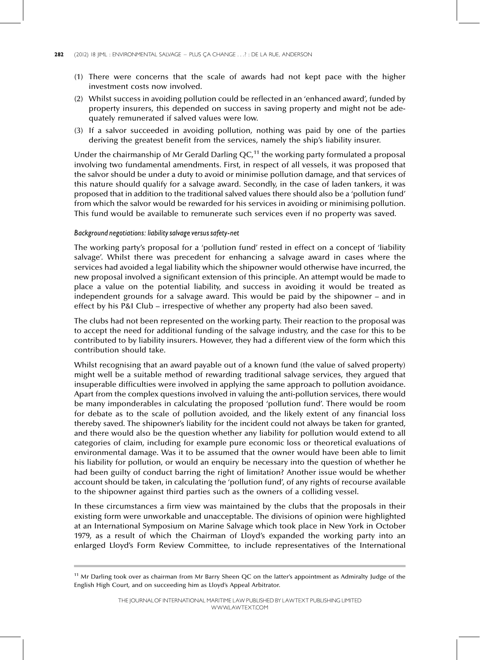- (1) There were concerns that the scale of awards had not kept pace with the higher investment costs now involved.
- (2) Whilst success in avoiding pollution could be reflected in an `enhanced award', funded by property insurers, this depended on success in saving property and might not be adequately remunerated if salved values were low.
- (3) If a salvor succeeded in avoiding pollution, nothing was paid by one of the parties deriving the greatest benefit from the services, namely the ship's liability insurer.

Under the chairmanship of Mr Gerald Darling  $QC<sub>1</sub><sup>1</sup>$  the working party formulated a proposal involving two fundamental amendments. First, in respect of all vessels, it was proposed that the salvor should be under a duty to avoid or minimise pollution damage, and that services of this nature should qualify for a salvage award. Secondly, in the case of laden tankers, it was proposed that in addition to the traditional salved values there should also be a 'pollution fund' from which the salvor would be rewarded for his services in avoiding or minimising pollution. This fund would be available to remunerate such services even if no property was saved.

#### Background negotiations: liability salvage versussafety-net

The working party's proposal for a 'pollution fund' rested in effect on a concept of 'liability salvage'. Whilst there was precedent for enhancing a salvage award in cases where the services had avoided a legal liability which the shipowner would otherwise have incurred, the new proposal involved a significant extension of this principle. An attempt would be made to place a value on the potential liability, and success in avoiding it would be treated as independent grounds for a salvage award. This would be paid by the shipowner  $-$  and in effect by his P&I Club – irrespective of whether any property had also been saved.

The clubs had not been represented on the working party. Their reaction to the proposal was to accept the need for additional funding of the salvage industry, and the case for this to be contributed to by liability insurers. However, they had a different view of the form which this contribution should take.

Whilst recognising that an award payable out of a known fund (the value of salved property) might well be a suitable method of rewarding traditional salvage services, they argued that insuperable difficulties were involved in applying the same approach to pollution avoidance. Apart from the complex questions involved in valuing the anti-pollution services, there would be many imponderables in calculating the proposed 'pollution fund'. There would be room for debate as to the scale of pollution avoided, and the likely extent of any financial loss thereby saved. The shipowner's liability for the incident could not always be taken for granted, and there would also be the question whether any liability for pollution would extend to all categories of claim, including for example pure economic loss or theoretical evaluations of environmental damage. Was it to be assumed that the owner would have been able to limit his liability for pollution, or would an enquiry be necessary into the question of whether he had been guilty of conduct barring the right of limitation? Another issue would be whether account should be taken, in calculating the 'pollution fund', of any rights of recourse available to the shipowner against third parties such as the owners of a colliding vessel.

In these circumstances a firm view was maintained by the clubs that the proposals in their existing form were unworkable and unacceptable. The divisions of opinion were highlighted at an International Symposium on Marine Salvage which took place in New York in October 1979, as a result of which the Chairman of Lloyd's expanded the working party into an enlarged Lloyd's Form Review Committee, to include representatives of the International

<sup>&</sup>lt;sup>11</sup> Mr Darling took over as chairman from Mr Barry Sheen QC on the latter's appointment as Admiralty Judge of the English High Court, and on succeeding him as Lloyd's Appeal Arbitrator.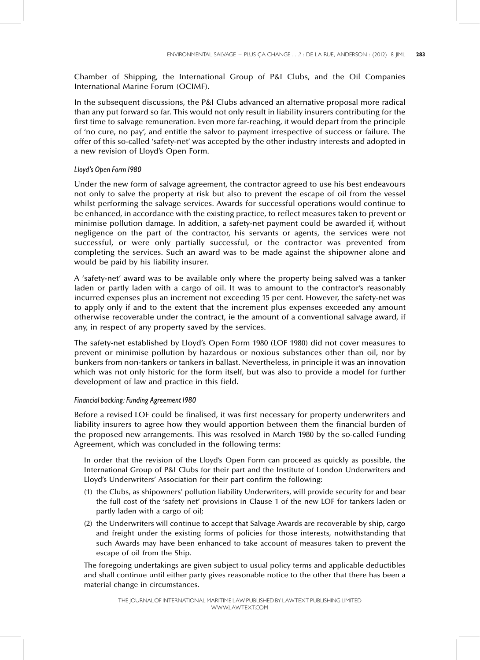Chamber of Shipping, the International Group of P&I Clubs, and the Oil Companies International Marine Forum (OCIMF).

In the subsequent discussions, the P&I Clubs advanced an alternative proposal more radical than any put forward so far. This would not only result in liability insurers contributing for the first time to salvage remuneration. Even more far-reaching, it would depart from the principle of `no cure, no pay', and entitle the salvor to payment irrespective of success or failure. The offer of this so-called `safety-net' was accepted by the other industry interests and adopted in a new revision of Lloyd's Open Form.

#### Lloyd's Open Form1980

Under the new form of salvage agreement, the contractor agreed to use his best endeavours not only to salve the property at risk but also to prevent the escape of oil from the vessel whilst performing the salvage services. Awards for successful operations would continue to be enhanced, in accordance with the existing practice, to reflect measures taken to prevent or minimise pollution damage. In addition, a safety-net payment could be awarded if, without negligence on the part of the contractor, his servants or agents, the services were not successful, or were only partially successful, or the contractor was prevented from completing the services. Such an award was to be made against the shipowner alone and would be paid by his liability insurer.

A `safety-net' award was to be available only where the property being salved was a tanker laden or partly laden with a cargo of oil. It was to amount to the contractor's reasonably incurred expenses plus an increment not exceeding 15 per cent. However, the safety-net was to apply only if and to the extent that the increment plus expenses exceeded any amount otherwise recoverable under the contract, ie the amount of a conventional salvage award, if any, in respect of any property saved by the services.

The safety-net established by Lloyd's Open Form 1980 (LOF 1980) did not cover measures to prevent or minimise pollution by hazardous or noxious substances other than oil, nor by bunkers from non-tankers or tankers in ballast. Nevertheless, in principle it was an innovation which was not only historic for the form itself, but was also to provide a model for further development of law and practice in this field.

#### Financial backing: Funding Agreement 1980

Before a revised LOF could be finalised, it was first necessary for property underwriters and liability insurers to agree how they would apportion between them the financial burden of the proposed new arrangements. This was resolved in March 1980 by the so-called Funding Agreement, which was concluded in the following terms:

In order that the revision of the Lloyd's Open Form can proceed as quickly as possible, the International Group of P&I Clubs for their part and the Institute of London Underwriters and Lloyd's Underwriters' Association for their part confirm the following:

- (1) the Clubs, as shipowners' pollution liability Underwriters, will provide security for and bear the full cost of the `safety net' provisions in Clause 1 of the new LOF for tankers laden or partly laden with a cargo of oil;
- (2) the Underwriters will continue to accept that Salvage Awards are recoverable by ship, cargo and freight under the existing forms of policies for those interests, notwithstanding that such Awards may have been enhanced to take account of measures taken to prevent the escape of oil from the Ship.

The foregoing undertakings are given subject to usual policy terms and applicable deductibles and shall continue until either party gives reasonable notice to the other that there has been a material change in circumstances.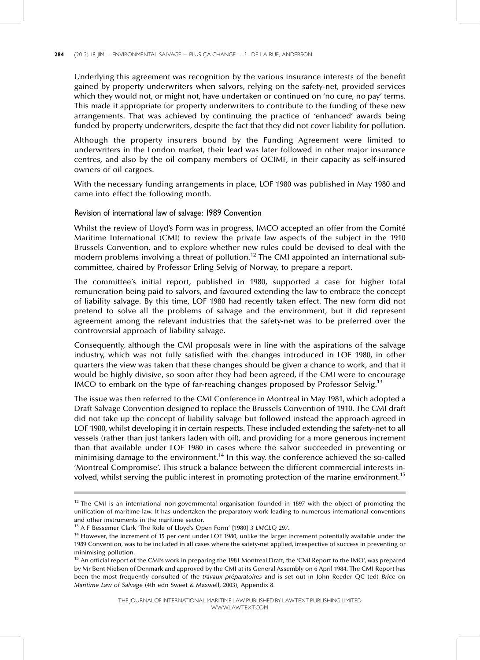#### 284 (2012) 18 JIML : ENVIRONMENTAL SALVAGE - PLUS ÇA CHANGE . . .? : DE LA RUE, ANDERSON

Underlying this agreement was recognition by the various insurance interests of the benefit gained by property underwriters when salvors, relying on the safety-net, provided services which they would not, or might not, have undertaken or continued on 'no cure, no pay' terms. This made it appropriate for property underwriters to contribute to the funding of these new arrangements. That was achieved by continuing the practice of 'enhanced' awards being funded by property underwriters, despite the fact that they did not cover liability for pollution.

Although the property insurers bound by the Funding Agreement were limited to underwriters in the London market, their lead was later followed in other major insurance centres, and also by the oil company members of OCIMF, in their capacity as self-insured owners of oil cargoes.

With the necessary funding arrangements in place, LOF 1980 was published in May 1980 and came into effect the following month.

#### Revision of international law of salvage: 1989 Convention

Whilst the review of Lloyd's Form was in progress, IMCO accepted an offer from the Comité Maritime International (CMI) to review the private law aspects of the subject in the 1910 Brussels Convention, and to explore whether new rules could be devised to deal with the modern problems involving a threat of pollution.<sup>12</sup> The CMI appointed an international subcommittee, chaired by Professor Erling Selvig of Norway, to prepare a report.

The committee's initial report, published in 1980, supported a case for higher total remuneration being paid to salvors, and favoured extending the law to embrace the concept of liability salvage. By this time, LOF 1980 had recently taken effect. The new form did not pretend to solve all the problems of salvage and the environment, but it did represent agreement among the relevant industries that the safety-net was to be preferred over the controversial approach of liability salvage.

Consequently, although the CMI proposals were in line with the aspirations of the salvage industry, which was not fully satisfied with the changes introduced in LOF 1980, in other quarters the view was taken that these changes should be given a chance to work, and that it would be highly divisive, so soon after they had been agreed, if the CMI were to encourage IMCO to embark on the type of far-reaching changes proposed by Professor Selvig.<sup>13</sup>

The issue was then referred to the CMI Conference in Montreal in May 1981, which adopted a Draft Salvage Convention designed to replace the Brussels Convention of 1910. The CMI draft did not take up the concept of liability salvage but followed instead the approach agreed in LOF 1980, whilst developing it in certain respects. These included extending the safety-net to all vessels (rather than just tankers laden with oil), and providing for a more generous increment than that available under LOF 1980 in cases where the salvor succeeded in preventing or minimising damage to the environment.<sup>14</sup> In this way, the conference achieved the so-called `Montreal Compromise'. This struck a balance between the different commercial interests involved, whilst serving the public interest in promoting protection of the marine environment.<sup>15</sup>

 $12$  The CMI is an international non-governmental organisation founded in 1897 with the object of promoting the unification of maritime law. It has undertaken the preparatory work leading to numerous international conventions and other instruments in the maritime sector.

<sup>&</sup>lt;sup>13</sup> A F Bessemer Clark 'The Role of Lloyd's Open Form' [1980] 3 LMCLQ 297.

<sup>&</sup>lt;sup>14</sup> However, the increment of 15 per cent under LOF 1980, unlike the larger increment potentially available under the 1989 Convention, was to be included in all cases where the safety-net applied, irrespective of success in preventing or minimising pollution.

<sup>&</sup>lt;sup>15</sup> An official report of the CMI's work in preparing the 1981 Montreal Draft, the 'CMI Report to the IMO', was prepared by Mr Bent Nielsen of Denmark and approved by the CMI at its General Assembly on 6 April 1984. The CMI Report has been the most frequently consulted of the travaux préparatoires and is set out in John Reeder QC (ed) Brice on Maritime Law of Salvage (4th edn Sweet & Maxwell, 2003), Appendix 8.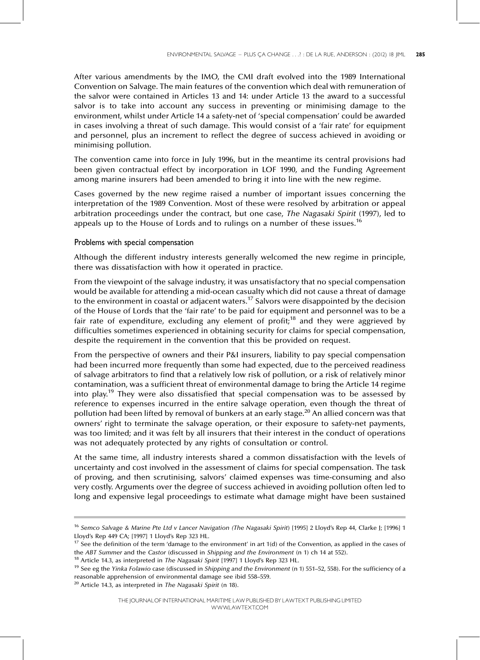After various amendments by the IMO, the CMI draft evolved into the 1989 International Convention on Salvage. The main features of the convention which deal with remuneration of the salvor were contained in Articles 13 and 14: under Article 13 the award to a successful salvor is to take into account any success in preventing or minimising damage to the environment, whilst under Article 14 a safety-net of `special compensation' could be awarded in cases involving a threat of such damage. This would consist of a 'fair rate' for equipment and personnel, plus an increment to reflect the degree of success achieved in avoiding or minimising pollution.

The convention came into force in July 1996, but in the meantime its central provisions had been given contractual effect by incorporation in LOF 1990, and the Funding Agreement among marine insurers had been amended to bring it into line with the new regime.

Cases governed by the new regime raised a number of important issues concerning the interpretation of the 1989 Convention. Most of these were resolved by arbitration or appeal arbitration proceedings under the contract, but one case, The Nagasaki Spirit (1997), led to appeals up to the House of Lords and to rulings on a number of these issues.<sup>16</sup>

#### Problems with special compensation

Although the different industry interests generally welcomed the new regime in principle, there was dissatisfaction with how it operated in practice.

From the viewpoint of the salvage industry, it was unsatisfactory that no special compensation would be available for attending a mid-ocean casualty which did not cause a threat of damage to the environment in coastal or adjacent waters.<sup>17</sup> Salvors were disappointed by the decision of the House of Lords that the 'fair rate' to be paid for equipment and personnel was to be a fair rate of expenditure, excluding any element of profit;<sup>18</sup> and they were aggrieved by difficulties sometimes experienced in obtaining security for claims for special compensation, despite the requirement in the convention that this be provided on request.

From the perspective of owners and their P&I insurers, liability to pay special compensation had been incurred more frequently than some had expected, due to the perceived readiness of salvage arbitrators to find that a relatively low risk of pollution, or a risk of relatively minor contamination, was a sufficient threat of environmental damage to bring the Article 14 regime into play.<sup>19</sup> They were also dissatisfied that special compensation was to be assessed by reference to expenses incurred in the entire salvage operation, even though the threat of pollution had been lifted by removal of bunkers at an early stage.<sup>20</sup> An allied concern was that owners' right to terminate the salvage operation, or their exposure to safety-net payments, was too limited; and it was felt by all insurers that their interest in the conduct of operations was not adequately protected by any rights of consultation or control.

At the same time, all industry interests shared a common dissatisfaction with the levels of uncertainty and cost involved in the assessment of claims for special compensation. The task of proving, and then scrutinising, salvors' claimed expenses was time-consuming and also very costly. Arguments over the degree of success achieved in avoiding pollution often led to long and expensive legal proceedings to estimate what damage might have been sustained

<sup>&</sup>lt;sup>16</sup> Semco Salvage & Marine Pte Ltd v Lancer Navigation (The Nagasaki Spirit) [1995] 2 Lloyd's Rep 44, Clarke J; [1996] 1 Lloyd's Rep 449 CA; [1997] 1 Lloyd's Rep 323 HL.

 $17$  See the definition of the term 'damage to the environment' in art 1(d) of the Convention, as applied in the cases of the ABT Summer and the Castor (discussed in Shipping and the Environment (n 1) ch 14 at 552).

<sup>&</sup>lt;sup>18</sup> Article 14.3, as interpreted in *The Nagasaki Spirit* [1997] 1 Lloyd's Rep 323 HL.

 $19$  See eg the Yinka Folawio case (discussed in Shipping and the Environment (n 1) 551-52, 558). For the sufficiency of a reasonable apprehension of environmental damage see ibid 558-559.

 $20$  Article 14.3, as interpreted in The Nagasaki Spirit (n 18).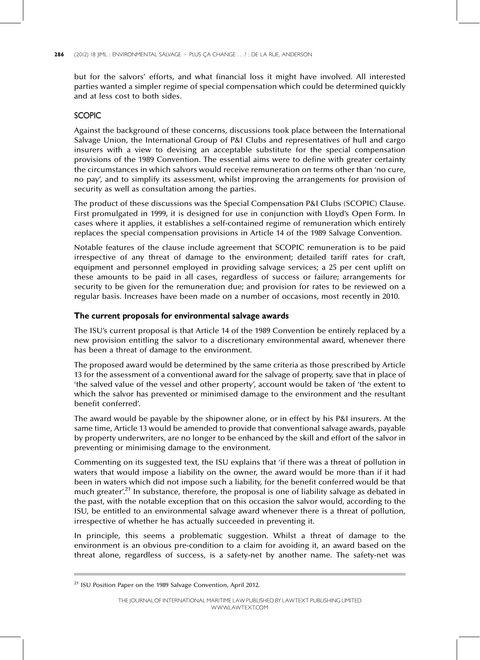#### 286 (2012) 18 JIML : ENVIRONMENTAL SALVAGE - PLUS ÇA CHANGE . . .? : DE LA RUE, ANDERSON

but for the salvors' efforts, and what financial loss it might have involved. All interested parties wanted a simpler regime of special compensation which could be determined quickly and at less cost to both sides.

## SCOPIC

Against the background of these concerns, discussions took place between the International Salvage Union, the International Group of P&I Clubs and representatives of hull and cargo insurers with a view to devising an acceptable substitute for the special compensation provisions of the 1989 Convention. The essential aims were to define with greater certainty the circumstances in which salvors would receive remuneration on terms other than `no cure, no pay', and to simplify its assessment, whilst improving the arrangements for provision of security as well as consultation among the parties.

The product of these discussions was the Special Compensation P&I Clubs (SCOPIC) Clause. First promulgated in 1999, it is designed for use in conjunction with Lloyd's Open Form. In cases where it applies, it establishes a self-contained regime of remuneration which entirely replaces the special compensation provisions in Article 14 of the 1989 Salvage Convention.

Notable features of the clause include agreement that SCOPIC remuneration is to be paid irrespective of any threat of damage to the environment; detailed tariff rates for craft, equipment and personnel employed in providing salvage services; a 25 per cent uplift on these amounts to be paid in all cases, regardless of success or failure; arrangements for security to be given for the remuneration due; and provision for rates to be reviewed on a regular basis. Increases have been made on a number of occasions, most recently in 2010.

## The current proposals for environmental salvage awards

The ISU's current proposal is that Article 14 of the 1989 Convention be entirely replaced by a new provision entitling the salvor to a discretionary environmental award, whenever there has been a threat of damage to the environment.

The proposed award would be determined by the same criteria as those prescribed by Article 13 for the assessment of a conventional award for the salvage of property, save that in place of `the salved value of the vessel and other property', account would be taken of `the extent to which the salvor has prevented or minimised damage to the environment and the resultant benefit conferred'.

The award would be payable by the shipowner alone, or in effect by his P&I insurers. At the same time, Article 13 would be amended to provide that conventional salvage awards, payable by property underwriters, are no longer to be enhanced by the skill and effort of the salvor in preventing or minimising damage to the environment.

Commenting on its suggested text, the ISU explains that `if there was a threat of pollution in waters that would impose a liability on the owner, the award would be more than if it had been in waters which did not impose such a liability, for the benefit conferred would be that much greater'.<sup>21</sup> In substance, therefore, the proposal is one of liability salvage as debated in the past, with the notable exception that on this occasion the salvor would, according to the ISU, be entitled to an environmental salvage award whenever there is a threat of pollution, irrespective of whether he has actually succeeded in preventing it.

In principle, this seems a problematic suggestion. Whilst a threat of damage to the environment is an obvious pre-condition to a claim for avoiding it, an award based on the threat alone, regardless of success, is a safety-net by another name. The safety-net was

<sup>21</sup> ISU Position Paper on the 1989 Salvage Convention, April 2012.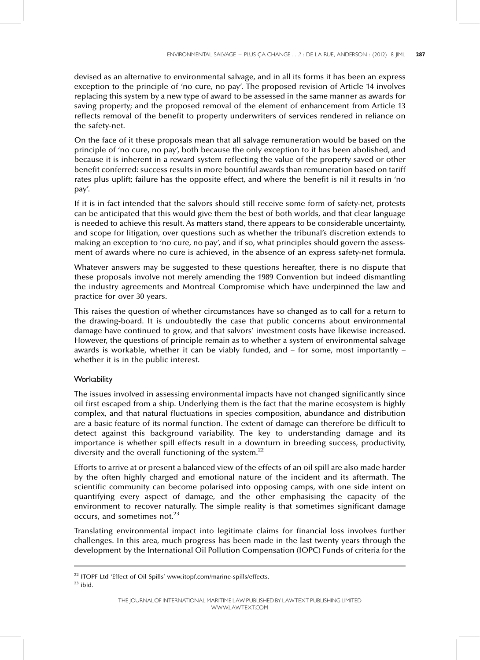devised as an alternative to environmental salvage, and in all its forms it has been an express exception to the principle of 'no cure, no pay'. The proposed revision of Article 14 involves replacing this system by a new type of award to be assessed in the same manner as awards for saving property; and the proposed removal of the element of enhancement from Article 13 reflects removal of the benefit to property underwriters of services rendered in reliance on the safety-net.

On the face of it these proposals mean that all salvage remuneration would be based on the principle of 'no cure, no pay', both because the only exception to it has been abolished, and because it is inherent in a reward system reflecting the value of the property saved or other benefit conferred: success results in more bountiful awards than remuneration based on tariff rates plus uplift; failure has the opposite effect, and where the benefit is nil it results in 'no pay'.

If it is in fact intended that the salvors should still receive some form of safety-net, protests can be anticipated that this would give them the best of both worlds, and that clear language is needed to achieve this result. As matters stand, there appears to be considerable uncertainty, and scope for litigation, over questions such as whether the tribunal's discretion extends to making an exception to 'no cure, no pay', and if so, what principles should govern the assessment of awards where no cure is achieved, in the absence of an express safety-net formula.

Whatever answers may be suggested to these questions hereafter, there is no dispute that these proposals involve not merely amending the 1989 Convention but indeed dismantling the industry agreements and Montreal Compromise which have underpinned the law and practice for over 30 years.

This raises the question of whether circumstances have so changed as to call for a return to the drawing-board. It is undoubtedly the case that public concerns about environmental damage have continued to grow, and that salvors' investment costs have likewise increased. However, the questions of principle remain as to whether a system of environmental salvage awards is workable, whether it can be viably funded, and  $-$  for some, most importantly  $$ whether it is in the public interest.

## **Workability**

The issues involved in assessing environmental impacts have not changed significantly since oil first escaped from a ship. Underlying them is the fact that the marine ecosystem is highly complex, and that natural fluctuations in species composition, abundance and distribution are a basic feature of its normal function. The extent of damage can therefore be difficult to detect against this background variability. The key to understanding damage and its importance is whether spill effects result in a downturn in breeding success, productivity, diversity and the overall functioning of the system.<sup>22</sup>

Efforts to arrive at or present a balanced view of the effects of an oil spill are also made harder by the often highly charged and emotional nature of the incident and its aftermath. The scientific community can become polarised into opposing camps, with one side intent on quantifying every aspect of damage, and the other emphasising the capacity of the environment to recover naturally. The simple reality is that sometimes significant damage occurs, and sometimes not.<sup>23</sup>

Translating environmental impact into legitimate claims for financial loss involves further challenges. In this area, much progress has been made in the last twenty years through the development by the International Oil Pollution Compensation (IOPC) Funds of criteria for the

<sup>&</sup>lt;sup>22</sup> ITOPF Ltd 'Effect of Oil Spills' www.itopf.com/marine-spills/effects.

 $23$  ibid.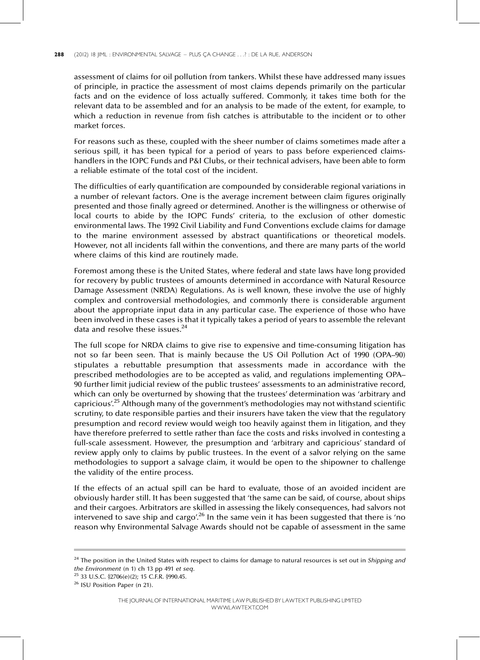#### 288 (2012) 18 JIML : ENVIRONMENTAL SALVAGE - PLUS ÇA CHANGE . . .? : DE LA RUE, ANDERSON

assessment of claims for oil pollution from tankers. Whilst these have addressed many issues of principle, in practice the assessment of most claims depends primarily on the particular facts and on the evidence of loss actually suffered. Commonly, it takes time both for the relevant data to be assembled and for an analysis to be made of the extent, for example, to which a reduction in revenue from fish catches is attributable to the incident or to other market forces.

For reasons such as these, coupled with the sheer number of claims sometimes made after a serious spill, it has been typical for a period of years to pass before experienced claimshandlers in the IOPC Funds and P&I Clubs, or their technical advisers, have been able to form a reliable estimate of the total cost of the incident.

The difficulties of early quantification are compounded by considerable regional variations in a number of relevant factors. One is the average increment between claim figures originally presented and those finally agreed or determined. Another is the willingness or otherwise of local courts to abide by the IOPC Funds' criteria, to the exclusion of other domestic environmental laws. The 1992 Civil Liability and Fund Conventions exclude claims for damage to the marine environment assessed by abstract quantifications or theoretical models. However, not all incidents fall within the conventions, and there are many parts of the world where claims of this kind are routinely made.

Foremost among these is the United States, where federal and state laws have long provided for recovery by public trustees of amounts determined in accordance with Natural Resource Damage Assessment (NRDA) Regulations. As is well known, these involve the use of highly complex and controversial methodologies, and commonly there is considerable argument about the appropriate input data in any particular case. The experience of those who have been involved in these cases is that it typically takes a period of years to assemble the relevant data and resolve these issues.<sup>24</sup>

The full scope for NRDA claims to give rise to expensive and time-consuming litigation has not so far been seen. That is mainly because the US Oil Pollution Act of 1990 (OPA-90) stipulates a rebuttable presumption that assessments made in accordance with the prescribed methodologies are to be accepted as valid, and regulations implementing OPA-90 further limit judicial review of the public trustees' assessments to an administrative record, which can only be overturned by showing that the trustees' determination was 'arbitrary and capricious'.<sup>25</sup> Although many of the government's methodologies may not withstand scientific scrutiny, to date responsible parties and their insurers have taken the view that the regulatory presumption and record review would weigh too heavily against them in litigation, and they have therefore preferred to settle rather than face the costs and risks involved in contesting a full-scale assessment. However, the presumption and 'arbitrary and capricious' standard of review apply only to claims by public trustees. In the event of a salvor relying on the same methodologies to support a salvage claim, it would be open to the shipowner to challenge the validity of the entire process.

If the effects of an actual spill can be hard to evaluate, those of an avoided incident are obviously harder still. It has been suggested that 'the same can be said, of course, about ships and their cargoes. Arbitrators are skilled in assessing the likely consequences, had salvors not intervened to save ship and cargo'.<sup>26</sup> In the same vein it has been suggested that there is 'no reason why Environmental Salvage Awards should not be capable of assessment in the same

<sup>&</sup>lt;sup>24</sup> The position in the United States with respect to claims for damage to natural resources is set out in Shipping and the Environment (n 1) ch 13 pp 491 et seq.

<sup>25</sup> 33 U.S.C. }2706(e)(2); 15 C.F.R. }990.45.

<sup>26</sup> ISU Position Paper (n 21).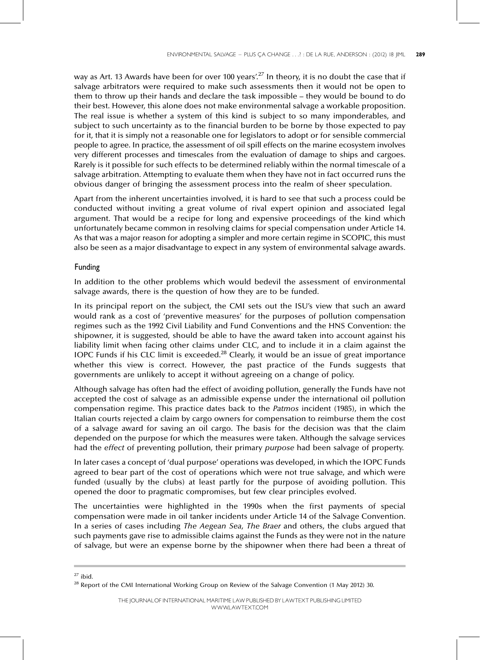way as Art. 13 Awards have been for over 100 years'.<sup>27</sup> In theory, it is no doubt the case that if salvage arbitrators were required to make such assessments then it would not be open to them to throw up their hands and declare the task impossible – they would be bound to do their best. However, this alone does not make environmental salvage a workable proposition. The real issue is whether a system of this kind is subject to so many imponderables, and subject to such uncertainty as to the financial burden to be borne by those expected to pay for it, that it is simply not a reasonable one for legislators to adopt or for sensible commercial people to agree. In practice, the assessment of oil spill effects on the marine ecosystem involves very different processes and timescales from the evaluation of damage to ships and cargoes. Rarely is it possible for such effects to be determined reliably within the normal timescale of a salvage arbitration. Attempting to evaluate them when they have not in fact occurred runs the obvious danger of bringing the assessment process into the realm of sheer speculation.

Apart from the inherent uncertainties involved, it is hard to see that such a process could be conducted without inviting a great volume of rival expert opinion and associated legal argument. That would be a recipe for long and expensive proceedings of the kind which unfortunately became common in resolving claims for special compensation under Article 14. As that was a major reason for adopting a simpler and more certain regime in SCOPIC, this must also be seen as a major disadvantage to expect in any system of environmental salvage awards.

#### Funding

In addition to the other problems which would bedevil the assessment of environmental salvage awards, there is the question of how they are to be funded.

In its principal report on the subject, the CMI sets out the ISU's view that such an award would rank as a cost of 'preventive measures' for the purposes of pollution compensation regimes such as the 1992 Civil Liability and Fund Conventions and the HNS Convention: the shipowner, it is suggested, should be able to have the award taken into account against his liability limit when facing other claims under CLC, and to include it in a claim against the IOPC Funds if his CLC limit is exceeded.<sup>28</sup> Clearly, it would be an issue of great importance whether this view is correct. However, the past practice of the Funds suggests that governments are unlikely to accept it without agreeing on a change of policy.

Although salvage has often had the effect of avoiding pollution, generally the Funds have not accepted the cost of salvage as an admissible expense under the international oil pollution compensation regime. This practice dates back to the Patmos incident (1985), in which the Italian courts rejected a claim by cargo owners for compensation to reimburse them the cost of a salvage award for saving an oil cargo. The basis for the decision was that the claim depended on the purpose for which the measures were taken. Although the salvage services had the effect of preventing pollution, their primary purpose had been salvage of property.

In later cases a concept of 'dual purpose' operations was developed, in which the IOPC Funds agreed to bear part of the cost of operations which were not true salvage, and which were funded (usually by the clubs) at least partly for the purpose of avoiding pollution. This opened the door to pragmatic compromises, but few clear principles evolved.

The uncertainties were highlighted in the 1990s when the first payments of special compensation were made in oil tanker incidents under Article 14 of the Salvage Convention. In a series of cases including The Aegean Sea, The Braer and others, the clubs argued that such payments gave rise to admissible claims against the Funds as they were not in the nature of salvage, but were an expense borne by the shipowner when there had been a threat of

 $27$  ibid.

<sup>&</sup>lt;sup>28</sup> Report of the CMI International Working Group on Review of the Salvage Convention (1 May 2012) 30.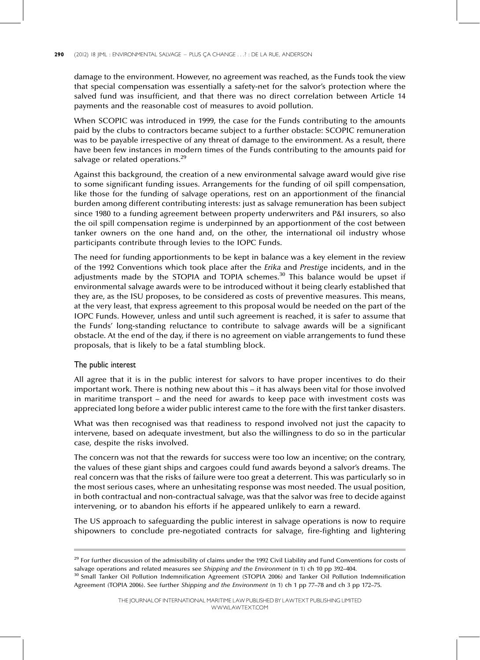damage to the environment. However, no agreement was reached, as the Funds took the view that special compensation was essentially a safety-net for the salvor's protection where the salved fund was insufficient, and that there was no direct correlation between Article 14 payments and the reasonable cost of measures to avoid pollution.

When SCOPIC was introduced in 1999, the case for the Funds contributing to the amounts paid by the clubs to contractors became subject to a further obstacle: SCOPIC remuneration was to be payable irrespective of any threat of damage to the environment. As a result, there have been few instances in modern times of the Funds contributing to the amounts paid for salvage or related operations.<sup>29</sup>

Against this background, the creation of a new environmental salvage award would give rise to some significant funding issues. Arrangements for the funding of oil spill compensation, like those for the funding of salvage operations, rest on an apportionment of the financial burden among different contributing interests: just as salvage remuneration has been subject since 1980 to a funding agreement between property underwriters and P&I insurers, so also the oil spill compensation regime is underpinned by an apportionment of the cost between tanker owners on the one hand and, on the other, the international oil industry whose participants contribute through levies to the IOPC Funds.

The need for funding apportionments to be kept in balance was a key element in the review of the 1992 Conventions which took place after the Erika and Prestige incidents, and in the adjustments made by the STOPIA and TOPIA schemes. $30$  This balance would be upset if environmental salvage awards were to be introduced without it being clearly established that they are, as the ISU proposes, to be considered as costs of preventive measures. This means, at the very least, that express agreement to this proposal would be needed on the part of the IOPC Funds. However, unless and until such agreement is reached, it is safer to assume that the Funds' long-standing reluctance to contribute to salvage awards will be a significant obstacle. At the end of the day, if there is no agreement on viable arrangements to fund these proposals, that is likely to be a fatal stumbling block.

#### The public interest

All agree that it is in the public interest for salvors to have proper incentives to do their important work. There is nothing new about this  $-$  it has always been vital for those involved in maritime transport  $-$  and the need for awards to keep pace with investment costs was appreciated long before a wider public interest came to the fore with the first tanker disasters.

What was then recognised was that readiness to respond involved not just the capacity to intervene, based on adequate investment, but also the willingness to do so in the particular case, despite the risks involved.

The concern was not that the rewards for success were too low an incentive; on the contrary, the values of these giant ships and cargoes could fund awards beyond a salvor's dreams. The real concern was that the risks of failure were too great a deterrent. This was particularly so in the most serious cases, where an unhesitating response was most needed. The usual position, in both contractual and non-contractual salvage, was that the salvor was free to decide against intervening, or to abandon his efforts if he appeared unlikely to earn a reward.

The US approach to safeguarding the public interest in salvage operations is now to require shipowners to conclude pre-negotiated contracts for salvage, fire-fighting and lightering

 $29$  For further discussion of the admissibility of claims under the 1992 Civil Liability and Fund Conventions for costs of salvage operations and related measures see Shipping and the Environment (n 1) ch 10 pp 392-404.

<sup>&</sup>lt;sup>30</sup> Small Tanker Oil Pollution Indemnification Agreement (STOPIA 2006) and Tanker Oil Pollution Indemnification Agreement (TOPIA 2006). See further Shipping and the Environment (n 1) ch 1 pp 77-78 and ch 3 pp 172-75.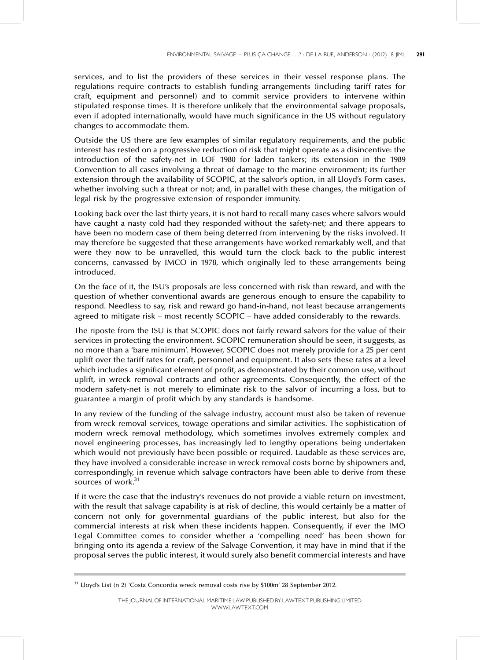services, and to list the providers of these services in their vessel response plans. The regulations require contracts to establish funding arrangements (including tariff rates for craft, equipment and personnel) and to commit service providers to intervene within stipulated response times. It is therefore unlikely that the environmental salvage proposals, even if adopted internationally, would have much significance in the US without regulatory changes to accommodate them.

Outside the US there are few examples of similar regulatory requirements, and the public interest has rested on a progressive reduction of risk that might operate as a disincentive: the introduction of the safety-net in LOF 1980 for laden tankers; its extension in the 1989 Convention to all cases involving a threat of damage to the marine environment; its further extension through the availability of SCOPIC, at the salvor's option, in all Lloyd's Form cases, whether involving such a threat or not; and, in parallel with these changes, the mitigation of legal risk by the progressive extension of responder immunity.

Looking back over the last thirty years, it is not hard to recall many cases where salvors would have caught a nasty cold had they responded without the safety-net; and there appears to have been no modern case of them being deterred from intervening by the risks involved. It may therefore be suggested that these arrangements have worked remarkably well, and that were they now to be unravelled, this would turn the clock back to the public interest concerns, canvassed by IMCO in 1978, which originally led to these arrangements being introduced.

On the face of it, the ISU's proposals are less concerned with risk than reward, and with the question of whether conventional awards are generous enough to ensure the capability to respond. Needless to say, risk and reward go hand-in-hand, not least because arrangements agreed to mitigate risk – most recently SCOPIC – have added considerably to the rewards.

The riposte from the ISU is that SCOPIC does not fairly reward salvors for the value of their services in protecting the environment. SCOPIC remuneration should be seen, it suggests, as no more than a 'bare minimum'. However, SCOPIC does not merely provide for a 25 per cent uplift over the tariff rates for craft, personnel and equipment. It also sets these rates at a level which includes a significant element of profit, as demonstrated by their common use, without uplift, in wreck removal contracts and other agreements. Consequently, the effect of the modern safety-net is not merely to eliminate risk to the salvor of incurring a loss, but to guarantee a margin of profit which by any standards is handsome.

In any review of the funding of the salvage industry, account must also be taken of revenue from wreck removal services, towage operations and similar activities. The sophistication of modern wreck removal methodology, which sometimes involves extremely complex and novel engineering processes, has increasingly led to lengthy operations being undertaken which would not previously have been possible or required. Laudable as these services are, they have involved a considerable increase in wreck removal costs borne by shipowners and, correspondingly, in revenue which salvage contractors have been able to derive from these sources of work.<sup>31</sup>

If it were the case that the industry's revenues do not provide a viable return on investment, with the result that salvage capability is at risk of decline, this would certainly be a matter of concern not only for governmental guardians of the public interest, but also for the commercial interests at risk when these incidents happen. Consequently, if ever the IMO Legal Committee comes to consider whether a 'compelling need' has been shown for bringing onto its agenda a review of the Salvage Convention, it may have in mind that if the proposal serves the public interest, it would surely also benefit commercial interests and have

 $31$  Lloyd's List (n 2) 'Costa Concordia wreck removal costs rise by \$100m' 28 September 2012.